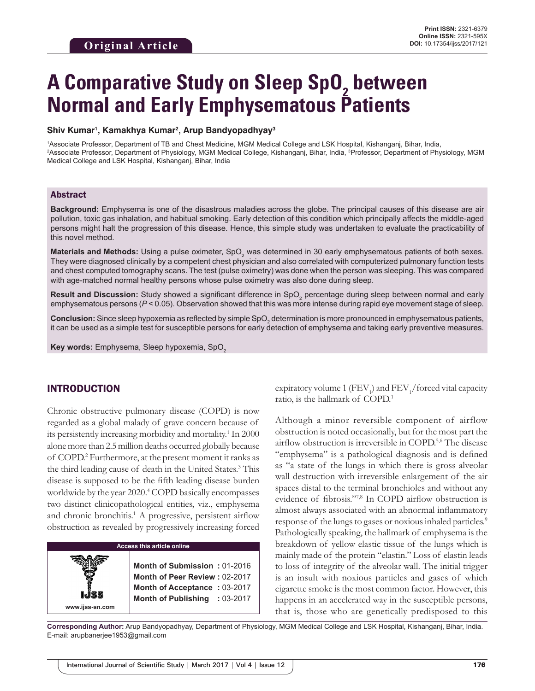# **A Comparative Study on Sleep SpO<sub>2</sub> between Normal and Early Emphysematous Patients**

#### **Shiv Kumar1 , Kamakhya Kumar2 , Arup Bandyopadhyay3**

1 Associate Professor, Department of TB and Chest Medicine, MGM Medical College and LSK Hospital, Kishanganj, Bihar, India, 2 Associate Professor, Department of Physiology, MGM Medical College, Kishanganj, Bihar, India, 3 Professor, Department of Physiology, MGM Medical College and LSK Hospital, Kishanganj, Bihar, India

#### Abstract

**Background:** Emphysema is one of the disastrous maladies across the globe. The principal causes of this disease are air pollution, toxic gas inhalation, and habitual smoking. Early detection of this condition which principally affects the middle-aged persons might halt the progression of this disease. Hence, this simple study was undertaken to evaluate the practicability of this novel method.

**Materials and Methods:** Using a pulse oximeter, SpO<sub>2</sub> was determined in 30 early emphysematous patients of both sexes. They were diagnosed clinically by a competent chest physician and also correlated with computerized pulmonary function tests and chest computed tomography scans. The test (pulse oximetry) was done when the person was sleeping. This was compared with age-matched normal healthy persons whose pulse oximetry was also done during sleep.

**Result and Discussion:** Study showed a significant difference in SpO<sub>2</sub> percentage during sleep between normal and early emphysematous persons (*P* < 0.05). Observation showed that this was more intense during rapid eye movement stage of sleep.

 ${\sf Conclusion}$ : Since sleep hypoxemia as reflected by simple SpO<sub>2</sub> determination is more pronounced in emphysematous patients, it can be used as a simple test for susceptible persons for early detection of emphysema and taking early preventive measures.

**Key words:** Emphysema, Sleep hypoxemia, SpO<sub>2</sub>

## INTRODUCTION

**www.ijss-sn.com**

Chronic obstructive pulmonary disease (COPD) is now regarded as a global malady of grave concern because of its persistently increasing morbidity and mortality.<sup>1</sup> In 2000 alone more than 2.5 million deaths occurred globally because of COPD.2 Furthermore, at the present moment it ranks as the third leading cause of death in the United States.<sup>3</sup> This disease is supposed to be the fifth leading disease burden worldwide by the year 2020.<sup>4</sup> COPD basically encompasses two distinct clinicopathological entities, viz., emphysema and chronic bronchitis.<sup>1</sup> A progressive, persistent airflow obstruction as revealed by progressively increasing forced

| Access this article online |  |  |
|----------------------------|--|--|
|                            |  |  |
|                            |  |  |

**Month of Submission :** 01-2016 **Month of Peer Review :** 02-2017 **Month of Acceptance :** 03-2017 **Month of Publishing :** 03-2017

expiratory volume 1  $\left(\text{FEV}_1\right)$  and  $\text{FEV}_1$ /forced vital capacity ratio, is the hallmark of COPD.1

Although a minor reversible component of airflow obstruction is noted occasionally, but for the most part the airflow obstruction is irreversible in COPD.5,6 The disease "emphysema" is a pathological diagnosis and is defined as "a state of the lungs in which there is gross alveolar wall destruction with irreversible enlargement of the air spaces distal to the terminal bronchioles and without any evidence of fibrosis."7,8 In COPD airflow obstruction is almost always associated with an abnormal inflammatory response of the lungs to gases or noxious inhaled particles.<sup>9</sup> Pathologically speaking, the hallmark of emphysema is the breakdown of yellow elastic tissue of the lungs which is mainly made of the protein "elastin." Loss of elastin leads to loss of integrity of the alveolar wall. The initial trigger is an insult with noxious particles and gases of which cigarette smoke is the most common factor. However, this happens in an accelerated way in the susceptible persons, that is, those who are genetically predisposed to this

**Corresponding Author:** Arup Bandyopadhyay, Department of Physiology, MGM Medical College and LSK Hospital, Kishanganj, Bihar, India. E-mail: arupbanerjee1953@gmail.com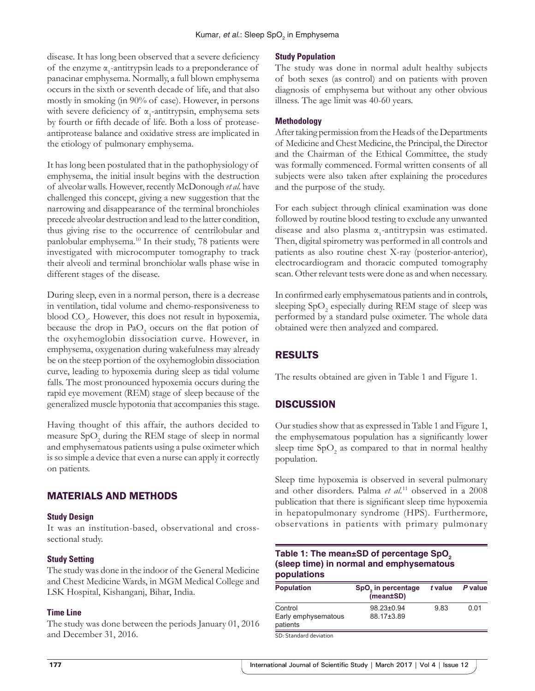disease. It has long been observed that a severe deficiency of the enzyme  $\alpha_1$ -antitrypsin leads to a preponderance of panacinar emphysema. Normally, a full blown emphysema occurs in the sixth or seventh decade of life, and that also mostly in smoking (in 90% of case). However, in persons with severe deficiency of  $\alpha$ <sub>1</sub>-antitrypsin, emphysema sets by fourth or fifth decade of life. Both a loss of proteaseantiprotease balance and oxidative stress are implicated in the etiology of pulmonary emphysema.

It has long been postulated that in the pathophysiology of emphysema, the initial insult begins with the destruction of alveolar walls. However, recently McDonough *et al.* have challenged this concept, giving a new suggestion that the narrowing and disappearance of the terminal bronchioles precede alveolar destruction and lead to the latter condition, thus giving rise to the occurrence of centrilobular and panlobular emphysema.10 In their study, 78 patients were investigated with microcomputer tomography to track their alveoli and terminal bronchiolar walls phase wise in different stages of the disease.

During sleep, even in a normal person, there is a decrease in ventilation, tidal volume and chemo-responsiveness to blood CO<sub>2</sub>. However, this does not result in hypoxemia, because the drop in  $PaO_2$  occurs on the flat potion of the oxyhemoglobin dissociation curve. However, in emphysema, oxygenation during wakefulness may already be on the steep portion of the oxyhemoglobin dissociation curve, leading to hypoxemia during sleep as tidal volume falls. The most pronounced hypoxemia occurs during the rapid eye movement (REM) stage of sleep because of the generalized muscle hypotonia that accompanies this stage.

Having thought of this affair, the authors decided to measure  $\text{SpO}_2$  during the REM stage of sleep in normal and emphysematous patients using a pulse oximeter which is so simple a device that even a nurse can apply it correctly on patients.

# MATERIALS AND METHODS

#### **Study Design**

It was an institution-based, observational and crosssectional study.

#### **Study Setting**

The study was done in the indoor of the General Medicine and Chest Medicine Wards, in MGM Medical College and LSK Hospital, Kishanganj, Bihar, India.

#### **Time Line**

The study was done between the periods January 01, 2016 and December 31, 2016.

#### **Study Population**

The study was done in normal adult healthy subjects of both sexes (as control) and on patients with proven diagnosis of emphysema but without any other obvious illness. The age limit was 40-60 years.

#### **Methodology**

After taking permission from the Heads of the Departments of Medicine and Chest Medicine, the Principal, the Director and the Chairman of the Ethical Committee, the study was formally commenced. Formal written consents of all subjects were also taken after explaining the procedures and the purpose of the study.

For each subject through clinical examination was done followed by routine blood testing to exclude any unwanted disease and also plasma  $\alpha_1$ -antitrypsin was estimated. Then, digital spirometry was performed in all controls and patients as also routine chest X-ray (posterior-anterior), electrocardiogram and thoracic computed tomography scan. Other relevant tests were done as and when necessary.

In confirmed early emphysematous patients and in controls, sleeping SpO<sub>2</sub> especially during REM stage of sleep was performed by a standard pulse oximeter. The whole data obtained were then analyzed and compared.

# RESULTS

The results obtained are given in Table 1 and Figure 1.

# **DISCUSSION**

Our studies show that as expressed in Table 1 and Figure 1, the emphysematous population has a significantly lower sleep time  $SpO<sub>2</sub>$  as compared to that in normal healthy population.

Sleep time hypoxemia is observed in several pulmonary and other disorders. Palma *et al.*11 observed in a 2008 publication that there is significant sleep time hypoxemia in hepatopulmonary syndrome (HPS). Furthermore, observations in patients with primary pulmonary

#### **Table 1: The mean±SD of percentage SpO<sub>2</sub> (sleep time) in normal and emphysematous populations**

| SpO <sub>2</sub> in percentage<br>(mean±SD) | t value | P value |
|---------------------------------------------|---------|---------|
| 98.23±0.94<br>88.17±3.89                    | 9.83    | 0 Q1    |
|                                             |         |         |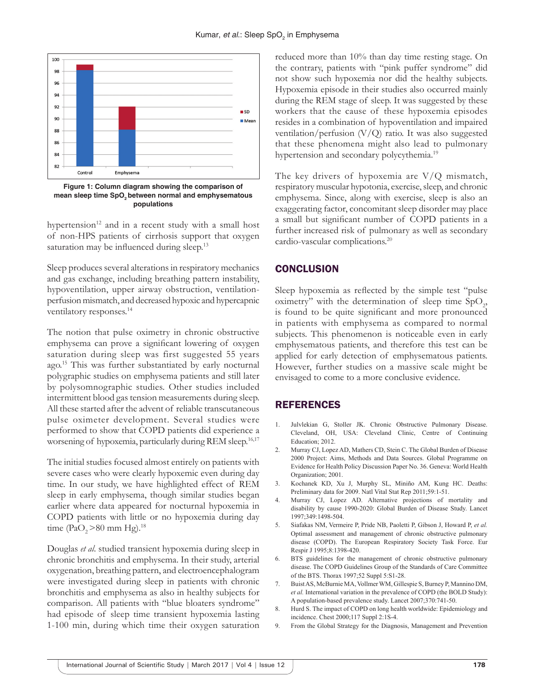

**Figure 1: Column diagram showing the comparison of**  mean sleep time SpO<sub>2</sub> between normal and emphysematous **populations**

hypertension $12$  and in a recent study with a small host of non-HPS patients of cirrhosis support that oxygen saturation may be influenced during sleep.<sup>13</sup>

Sleep produces several alterations in respiratory mechanics and gas exchange, including breathing pattern instability, hypoventilation, upper airway obstruction, ventilationperfusion mismatch, and decreased hypoxic and hypercapnic ventilatory responses.<sup>14</sup>

The notion that pulse oximetry in chronic obstructive emphysema can prove a significant lowering of oxygen saturation during sleep was first suggested 55 years ago.15 This was further substantiated by early nocturnal polygraphic studies on emphysema patients and still later by polysomnographic studies. Other studies included intermittent blood gas tension measurements during sleep. All these started after the advent of reliable transcutaneous pulse oximeter development. Several studies were performed to show that COPD patients did experience a worsening of hypoxemia, particularly during REM sleep.<sup>16,17</sup>

The initial studies focused almost entirely on patients with severe cases who were clearly hypoxemic even during day time. In our study, we have highlighted effect of REM sleep in early emphysema, though similar studies began earlier where data appeared for nocturnal hypoxemia in COPD patients with little or no hypoxemia during day time (PaO<sub>2</sub> > 80 mm Hg).<sup>18</sup>

Douglas *et al*. studied transient hypoxemia during sleep in chronic bronchitis and emphysema. In their study, arterial oxygenation, breathing pattern, and electroencephalogram were investigated during sleep in patients with chronic bronchitis and emphysema as also in healthy subjects for comparison. All patients with "blue bloaters syndrome" had episode of sleep time transient hypoxemia lasting 1-100 min, during which time their oxygen saturation reduced more than 10% than day time resting stage. On the contrary, patients with "pink puffer syndrome" did not show such hypoxemia nor did the healthy subjects. Hypoxemia episode in their studies also occurred mainly during the REM stage of sleep. It was suggested by these workers that the cause of these hypoxemia episodes resides in a combination of hypoventilation and impaired ventilation/perfusion (V/Q) ratio. It was also suggested that these phenomena might also lead to pulmonary hypertension and secondary polycythemia.<sup>19</sup>

The key drivers of hypoxemia are  $V/Q$  mismatch, respiratory muscular hypotonia, exercise, sleep, and chronic emphysema. Since, along with exercise, sleep is also an exaggerating factor, concomitant sleep disorder may place a small but significant number of COPD patients in a further increased risk of pulmonary as well as secondary cardio-vascular complications.20

## **CONCLUSION**

Sleep hypoxemia as reflected by the simple test "pulse oximetry" with the determination of sleep time  $SpO<sub>2</sub>$ , is found to be quite significant and more pronounced in patients with emphysema as compared to normal subjects. This phenomenon is noticeable even in early emphysematous patients, and therefore this test can be applied for early detection of emphysematous patients. However, further studies on a massive scale might be envisaged to come to a more conclusive evidence.

## REFERENCES

- 1. Julvlekian G, Stoller JK. Chronic Obstructive Pulmonary Disease. Cleveland, OH, USA: Cleveland Clinic, Centre of Continuing Education; 2012.
- 2. Murray CJ, Lopez AD, Mathers CD, Stein C. The Global Burden of Disease 2000 Project: Aims, Methods and Data Sources. Global Programme on Evidence for Health Policy Discussion Paper No. 36. Geneva: World Health Organization; 2001.
- 3. Kochanek KD, Xu J, Murphy SL, Miniño AM, Kung HC. Deaths: Preliminary data for 2009. Natl Vital Stat Rep 2011;59:1-51.
- 4. Murray CJ, Lopez AD. Alternative projections of mortality and disability by cause 1990-2020: Global Burden of Disease Study. Lancet 1997;349:1498-504.
- 5. Siafakas NM, Vermeire P, Pride NB, Paoletti P, Gibson J, Howard P, *et al.* Optimal assessment and management of chronic obstructive pulmonary disease (COPD). The European Respiratory Society Task Force. Eur Respir J 1995;8:1398-420.
- 6. BTS guidelines for the management of chronic obstructive pulmonary disease. The COPD Guidelines Group of the Standards of Care Committee of the BTS. Thorax 1997;52 Suppl 5:S1-28.
- 7. Buist AS, McBurnie MA, Vollmer WM, Gillespie S, Burney P, Mannino DM, *et al.* International variation in the prevalence of COPD (the BOLD Study): A population-based prevalence study. Lancet 2007;370:741-50.
- 8. Hurd S. The impact of COPD on long health worldwide: Epidemiology and incidence. Chest 2000;117 Suppl 2:1S-4.
- 9. From the Global Strategy for the Diagnosis, Management and Prevention